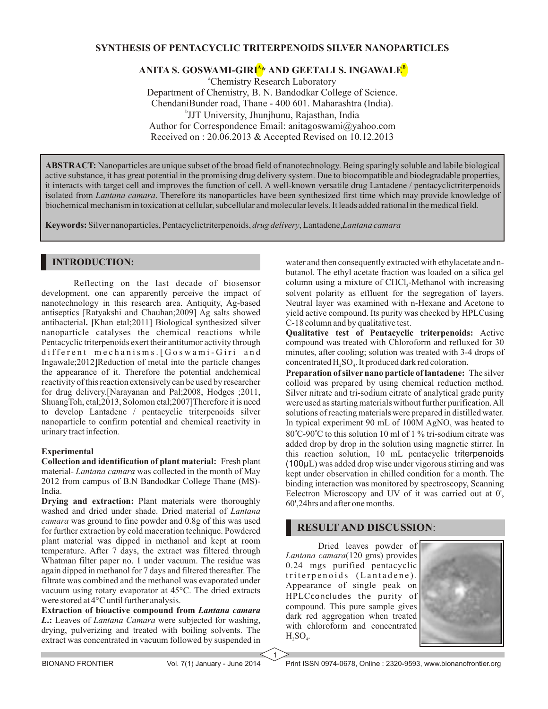### **SYNTHESIS OF PENTACYCLIC TRITERPENOIDS SILVER NANOPARTICLES**

# **<sup>A</sup> <sup>B</sup> ANITA S. GOSWAMI-GIRI \* AND GEETALI S. INGAWALE**

<sup>a</sup>Chemistry Research Laboratory Department of Chemistry, B. N. Bandodkar College of Science. ChendaniBunder road, Thane - 400 601. Maharashtra (India). b JJT University, Jhunjhunu, Rajasthan, India Author for Correspondence Email: anitagoswami@yahoo.com Received on : 20.06.2013 & Accepted Revised on 10.12.2013

**ABSTRACT:** Nanoparticles are unique subset of the broad field of nanotechnology. Being sparingly soluble and labile biological active substance, it has great potential in the promising drug delivery system. Due to biocompatible and biodegradable properties, it interacts with target cell and improves the function of cell. A well-known versatile drug Lantadene / pentacyclictriterpenoids isolated from *Lantana camara*. Therefore its nanoparticles have been synthesized first time which may provide knowledge of biochemical mechanism in toxication at cellular, subcellular and molecular levels. It leads added rational in the medical field.

**Keywords:** Silver nanoparticles, Pentacyclictriterpenoids, *drug delivery*, Lantadene,*Lantana camara*

## **INTRODUCTION:**

Reflecting on the last decade of biosensor development, one can apparently perceive the impact of nanotechnology in this research area. Antiquity, Ag-based antiseptics [Ratyakshi and Chauhan;2009] Ag salts showed antibacterial**. [**Khan etal;2011] Biological synthesized silver nanoparticle catalyses the chemical reactions while Pentacyclic triterpenoids exert their antitumor activity through different mechanisms. [Goswami-Giri and Ingawale;2012]Reduction of metal into the particle changes the appearance of it. Therefore the potential andchemical reactivity of this reaction extensively can be used by researcher for drug delivery.[Narayanan and Pal;2008, Hodges ;2011, ShuangToh, etal;2013, Solomon etal;2007]Therefore it is need to develop Lantadene / pentacyclic triterpenoids silver nanoparticle to confirm potential and chemical reactivity in urinary tract infection.

#### **Experimental**

**Collection and identification of plant material:** Fresh plant material- *Lantana camara* was collected in the month of May 2012 from campus of B.N Bandodkar College Thane (MS)- India.

**Drying and extraction:** Plant materials were thoroughly washed and dried under shade. Dried material of *Lantana camara* was ground to fine powder and 0.8g of this was used for further extraction by cold maceration technique. Powdered plant material was dipped in methanol and kept at room temperature. After 7 days, the extract was filtered through Whatman filter paper no. 1 under vacuum. The residue was again dipped in methanol for 7 days and filtered thereafter. The filtrate was combined and the methanol was evaporated under vacuum using rotary evaporator at 45°C. The dried extracts were stored at 4°C until further analysis.

**Extraction of bioactive compound from** *Lantana camara L***.:** Leaves of *Lantana Camara* were subjected for washing, drying, pulverizing and treated with boiling solvents. The extract was concentrated in vacuum followed by suspended in water and then consequently extracted with ethylacetate and nbutanol. The ethyl acetate fraction was loaded on a silica gel column using a mixture of  $CHCl<sub>3</sub>$ -Methanol with increasing solvent polarity as effluent for the segregation of layers. Neutral layer was examined with n-Hexane and Acetone to yield active compound. Its purity was checked by HPLCusing C-18 column and by qualitative test.

**Qualitative test of Pentacyclic triterpenoids:** Active compound was treated with Chloroform and refluxed for 30 minutes, after cooling; solution was treated with 3-4 drops of concentrated  $H_2SO_4$ . It produced dark red coloration.

**Preparation of silver nano particle of lantadene:** The silver colloid was prepared by using chemical reduction method. Silver nitrate and tri-sodium citrate of analytical grade purity were used as starting materials without further purification. All solutions of reacting materials were prepared in distilled water. In typical experiment 90 mL of 100M AgNO, was heated to 80°C-90°C to this solution 10 ml of 1 % tri-sodium citrate was added drop by drop in the solution using magnetic stirrer. In this reaction solution, 10 mL pentacyclic triterpenoids (100μL) was added drop wise under vigorous stirring and was kept under observation in chilled condition for a month. The binding interaction was monitored by spectroscopy, Scanning Eelectron Microscopy and UV of it was carried out at 0', 60',24hrs and after one months.

## **RESULT AND DISCUSSION**:

Dried leaves powder of *Lantana camara*(120 gms) provides 0.24 mgs purified pentacyclic triterpenoids (Lantadene). Appearance of single peak on HPLCconcludes the purity of compound. This pure sample gives dark red aggregation when treated with chloroform and concentrated  $H_2SO_4$ .



1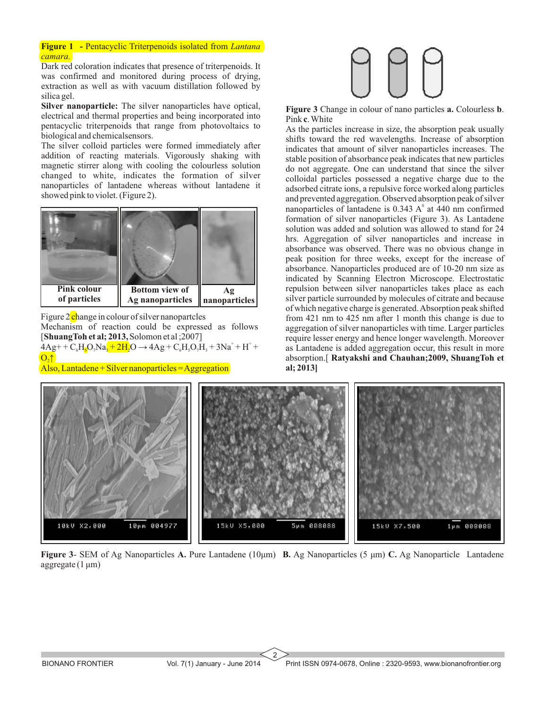**Figure 1 -** Pentacyclic Triterpenoids isolated from *Lantana camara.*

Dark red coloration indicates that presence of triterpenoids. It was confirmed and monitored during process of drying, extraction as well as with vacuum distillation followed by silica gel.

**Silver nanoparticle:** The silver nanoparticles have optical, electrical and thermal properties and being incorporated into pentacyclic triterpenoids that range from photovoltaics to biological and chemicalsensors.

The silver colloid particles were formed immediately after addition of reacting materials. Vigorously shaking with magnetic stirrer along with cooling the colourless solution changed to white, indicates the formation of silver nanoparticles of lantadene whereas without lantadene it showed pink to violet. (Figure 2).



Figure 2 change in colour of silver nanopartcles

Mechanism of reaction could be expressed as follows [**ShuangToh et al; 2013,**Solomon et al ;2007]  $4\text{Ag} + \text{C}_6\text{H}_5\text{O}_7\text{Na}_3 + 2\text{H}_2\text{O} \rightarrow 4\text{Ag} + \text{C}_6\text{H}_5\text{O}_7\text{H}_3 + 3\text{Na}^+ + \text{H}^+ +$ 

 $O<sub>2</sub>$ 

Also, Lantadene + Silver nanoparticles = Aggregation



**Figure 3** Change in colour of nano particles **a.** Colourless **b**. Pink **c**. White

As the particles increase in size, the absorption peak usually shifts toward the red wavelengths. Increase of absorption indicates that amount of silver nanoparticles increases. The stable position of absorbance peak indicates that new particles do not aggregate. One can understand that since the silver colloidal particles possessed a negative charge due to the adsorbed citrate ions, a repulsive force worked along particles and prevented aggregation. Observed absorption peak of silver nanoparticles of lantadene is  $0.343$  A $\textdegree$  at 440 nm confirmed formation of silver nanoparticles (Figure 3). As Lantadene solution was added and solution was allowed to stand for 24 hrs. Aggregation of silver nanoparticles and increase in absorbance was observed. There was no obvious change in peak position for three weeks, except for the increase of absorbance. Nanoparticles produced are of 10-20 nm size as indicated by Scanning Electron Microscope. Electrostatic repulsion between silver nanoparticles takes place as each silver particle surrounded by molecules of citrate and because of which negative charge is generated. Absorption peak shifted from 421 nm to 425 nm after 1 month this change is due to aggregation of silver nanoparticles with time. Larger particles require lesser energy and hence longer wavelength. Moreover as Lantadene is added aggregation occur, this result in more absorption.[ **Ratyakshi and Chauhan;2009, ShuangToh et al; 2013]**



**Figure 3**- SEM of Ag Nanoparticles **A.** Pure Lantadene (10μm) **B.** Ag Nanoparticles (5 μm) **C.** Ag Nanoparticle Lantadene  $\text{aggregate} (1 \,\mu\text{m})$ 

2